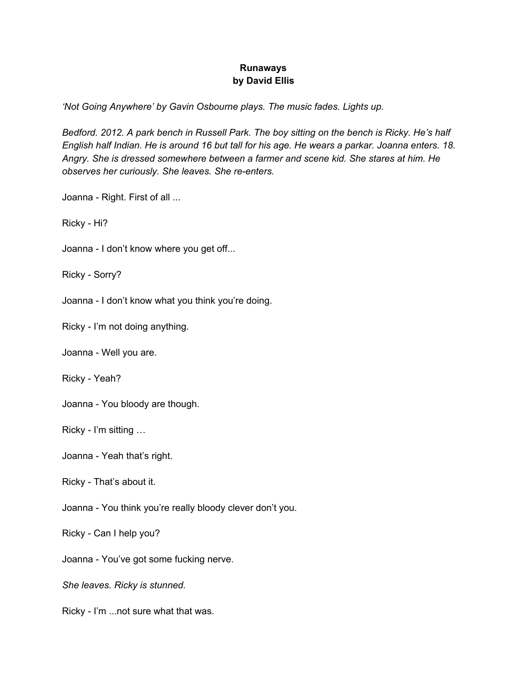## **Runaways by David Ellis**

*'Not Going Anywhere' by Gavin Osbourne plays. The music fades. Lights up.*

*Bedford. 2012. A park bench in Russell Park. The boy sitting on the bench is Ricky. He's half* English half Indian. He is around 16 but tall for his age. He wears a parkar. Joanna enters. 18. *Angry. She is dressed somewhere between a farmer and scene kid. She stares at him. He observes her curiously. She leaves. She re-enters.*

Joanna - Right. First of all ...

Ricky - Hi?

Joanna - I don't know where you get off...

Ricky - Sorry?

Joanna - I don't know what you think you're doing.

Ricky - I'm not doing anything.

Joanna - Well you are.

Ricky - Yeah?

Joanna - You bloody are though.

Ricky - I'm sitting …

Joanna - Yeah that's right.

Ricky - That's about it.

Joanna - You think you're really bloody clever don't you.

Ricky - Can I help you?

Joanna - You've got some fucking nerve.

*She leaves. Ricky is stunned.*

Ricky - I'm ...not sure what that was.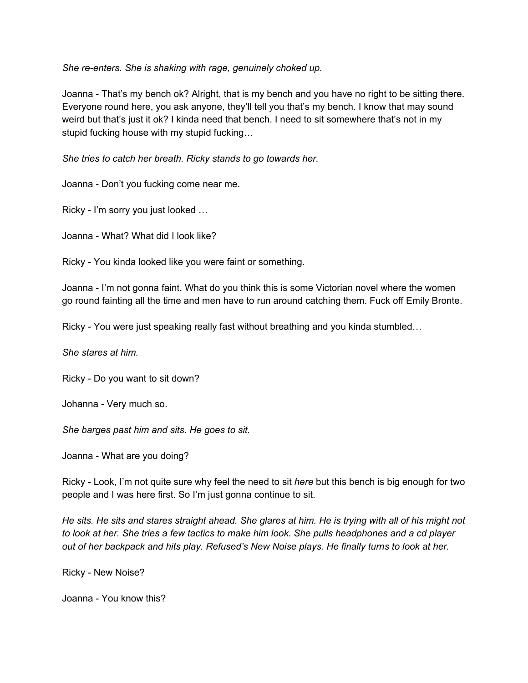*She re-enters. She is shaking with rage, genuinely choked up.*

Joanna - That's my bench ok? Alright, that is my bench and you have no right to be sitting there. Everyone round here, you ask anyone, they'll tell you that's my bench. I know that may sound weird but that's just it ok? I kinda need that bench. I need to sit somewhere that's not in my stupid fucking house with my stupid fucking…

*She tries to catch her breath. Ricky stands to go towards her.*

Joanna - Don't you fucking come near me.

Ricky - I'm sorry you just looked …

Joanna - What? What did I look like?

Ricky - You kinda looked like you were faint or something.

Joanna - I'm not gonna faint. What do you think this is some Victorian novel where the women go round fainting all the time and men have to run around catching them. Fuck off Emily Bronte.

Ricky - You were just speaking really fast without breathing and you kinda stumbled…

*She stares at him.*

Ricky - Do you want to sit down?

Johanna - Very much so.

*She barges past him and sits. He goes to sit.*

Joanna - What are you doing?

Ricky - Look, I'm not quite sure why feel the need to sit *here* but this bench is big enough for two people and I was here first. So I'm just gonna continue to sit.

He sits. He sits and stares straight ahead. She glares at him. He is trying with all of his might not to look at her. She tries a few tactics to make him look. She pulls headphones and a cd player *out of her backpack and hits play. Refused's New Noise plays. He finally turns to look at her.*

Ricky - New Noise?

Joanna - You know this?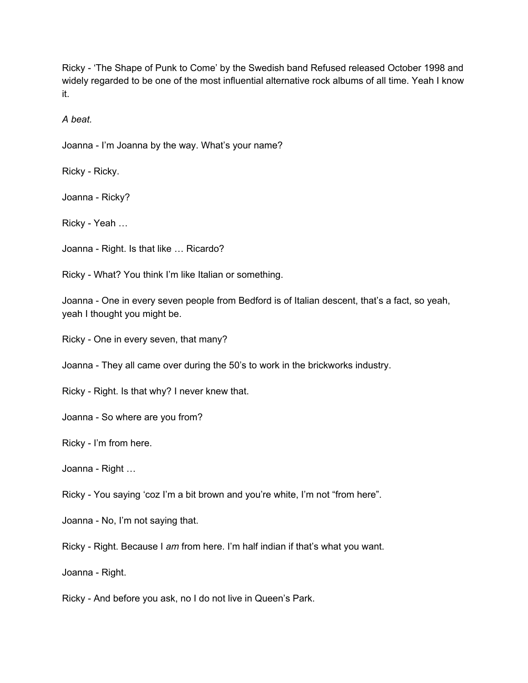Ricky - 'The Shape of Punk to Come' by the Swedish band Refused released October 1998 and widely regarded to be one of the most influential alternative rock albums of all time. Yeah I know it.

*A beat.*

Joanna - I'm Joanna by the way. What's your name?

Ricky - Ricky.

Joanna - Ricky?

Ricky - Yeah …

Joanna - Right. Is that like … Ricardo?

Ricky - What? You think I'm like Italian or something.

Joanna - One in every seven people from Bedford is of Italian descent, that's a fact, so yeah, yeah I thought you might be.

Ricky - One in every seven, that many?

Joanna - They all came over during the 50's to work in the brickworks industry.

Ricky - Right. Is that why? I never knew that.

Joanna - So where are you from?

Ricky - I'm from here.

Joanna - Right …

Ricky - You saying 'coz I'm a bit brown and you're white, I'm not "from here".

Joanna - No, I'm not saying that.

Ricky - Right. Because I *am* from here. I'm half indian if that's what you want.

Joanna - Right.

Ricky - And before you ask, no I do not live in Queen's Park.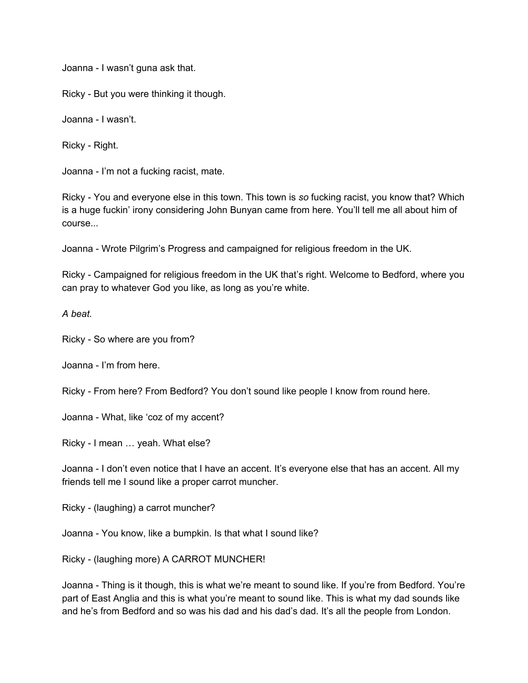Joanna - I wasn't guna ask that.

Ricky - But you were thinking it though.

Joanna - I wasn't.

Ricky - Right.

Joanna - I'm not a fucking racist, mate.

Ricky - You and everyone else in this town. This town is *so* fucking racist, you know that? Which is a huge fuckin' irony considering John Bunyan came from here. You'll tell me all about him of course...

Joanna - Wrote Pilgrim's Progress and campaigned for religious freedom in the UK.

Ricky - Campaigned for religious freedom in the UK that's right. Welcome to Bedford, where you can pray to whatever God you like, as long as you're white.

*A beat.*

Ricky - So where are you from?

Joanna - I'm from here.

Ricky - From here? From Bedford? You don't sound like people I know from round here.

Joanna - What, like 'coz of my accent?

Ricky - I mean … yeah. What else?

Joanna - I don't even notice that I have an accent. It's everyone else that has an accent. All my friends tell me I sound like a proper carrot muncher.

Ricky - (laughing) a carrot muncher?

Joanna - You know, like a bumpkin. Is that what I sound like?

Ricky - (laughing more) A CARROT MUNCHER!

Joanna - Thing is it though, this is what we're meant to sound like. If you're from Bedford. You're part of East Anglia and this is what you're meant to sound like. This is what my dad sounds like and he's from Bedford and so was his dad and his dad's dad. It's all the people from London.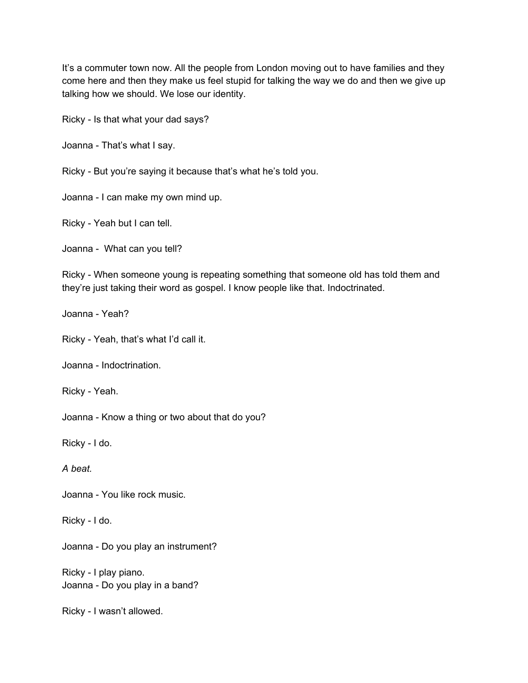It's a commuter town now. All the people from London moving out to have families and they come here and then they make us feel stupid for talking the way we do and then we give up talking how we should. We lose our identity.

Ricky - Is that what your dad says?

Joanna - That's what I say.

Ricky - But you're saying it because that's what he's told you.

Joanna - I can make my own mind up.

Ricky - Yeah but I can tell.

Joanna - What can you tell?

Ricky - When someone young is repeating something that someone old has told them and they're just taking their word as gospel. I know people like that. Indoctrinated.

Joanna - Yeah?

Ricky - Yeah, that's what I'd call it.

Joanna - Indoctrination.

Ricky - Yeah.

Joanna - Know a thing or two about that do you?

Ricky - I do.

*A beat.*

Joanna - You like rock music.

Ricky - I do.

Joanna - Do you play an instrument?

Ricky - I play piano. Joanna - Do you play in a band?

Ricky - I wasn't allowed.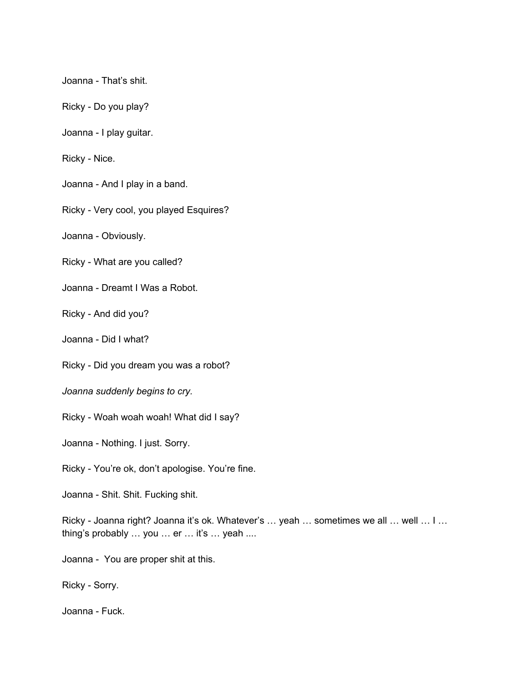Joanna - That's shit.

Ricky - Do you play?

Joanna - I play guitar.

Ricky - Nice.

Joanna - And I play in a band.

Ricky - Very cool, you played Esquires?

Joanna - Obviously.

Ricky - What are you called?

Joanna - Dreamt I Was a Robot.

Ricky - And did you?

Joanna - Did I what?

Ricky - Did you dream you was a robot?

*Joanna suddenly begins to cry.*

Ricky - Woah woah woah! What did I say?

Joanna - Nothing. I just. Sorry.

Ricky - You're ok, don't apologise. You're fine.

Joanna - Shit. Shit. Fucking shit.

Ricky - Joanna right? Joanna it's ok. Whatever's ... yeah ... sometimes we all ... well ... I ... thing's probably … you … er … it's … yeah ....

Joanna - You are proper shit at this.

Ricky - Sorry.

Joanna - Fuck.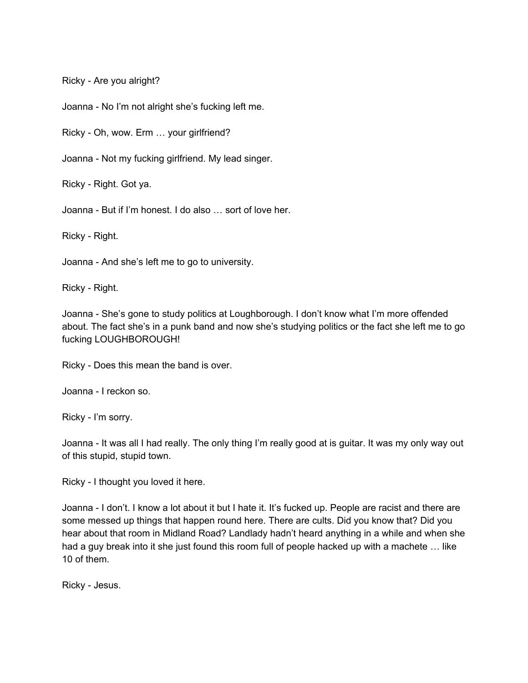Ricky - Are you alright?

Joanna - No I'm not alright she's fucking left me.

Ricky - Oh, wow. Erm … your girlfriend?

Joanna - Not my fucking girlfriend. My lead singer.

Ricky - Right. Got ya.

Joanna - But if I'm honest. I do also … sort of love her.

Ricky - Right.

Joanna - And she's left me to go to university.

Ricky - Right.

Joanna - She's gone to study politics at Loughborough. I don't know what I'm more offended about. The fact she's in a punk band and now she's studying politics or the fact she left me to go fucking LOUGHBOROUGH!

Ricky - Does this mean the band is over.

Joanna - I reckon so.

Ricky - I'm sorry.

Joanna - It was all I had really. The only thing I'm really good at is guitar. It was my only way out of this stupid, stupid town.

Ricky - I thought you loved it here.

Joanna - I don't. I know a lot about it but I hate it. It's fucked up. People are racist and there are some messed up things that happen round here. There are cults. Did you know that? Did you hear about that room in Midland Road? Landlady hadn't heard anything in a while and when she had a guy break into it she just found this room full of people hacked up with a machete … like 10 of them.

Ricky - Jesus.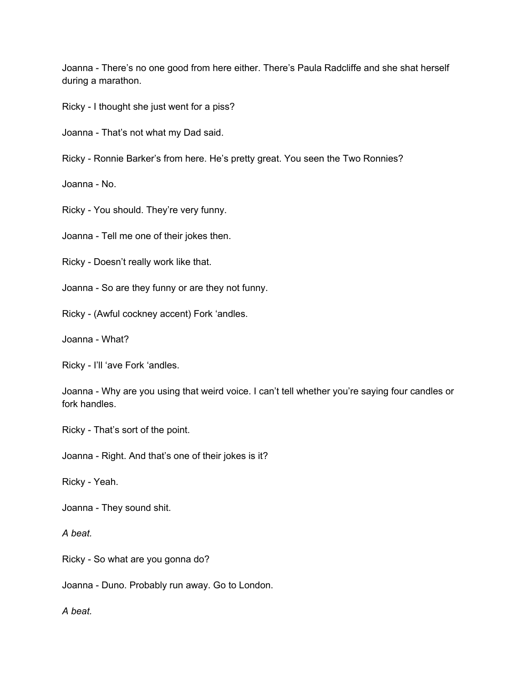Joanna - There's no one good from here either. There's Paula Radcliffe and she shat herself during a marathon.

Ricky - I thought she just went for a piss?

Joanna - That's not what my Dad said.

Ricky - Ronnie Barker's from here. He's pretty great. You seen the Two Ronnies?

Joanna - No.

Ricky - You should. They're very funny.

Joanna - Tell me one of their jokes then.

Ricky - Doesn't really work like that.

Joanna - So are they funny or are they not funny.

Ricky - (Awful cockney accent) Fork 'andles.

Joanna - What?

Ricky - I'll 'ave Fork 'andles.

Joanna - Why are you using that weird voice. I can't tell whether you're saying four candles or fork handles.

Ricky - That's sort of the point.

Joanna - Right. And that's one of their jokes is it?

Ricky - Yeah.

Joanna - They sound shit.

*A beat.*

Ricky - So what are you gonna do?

Joanna - Duno. Probably run away. Go to London.

*A beat.*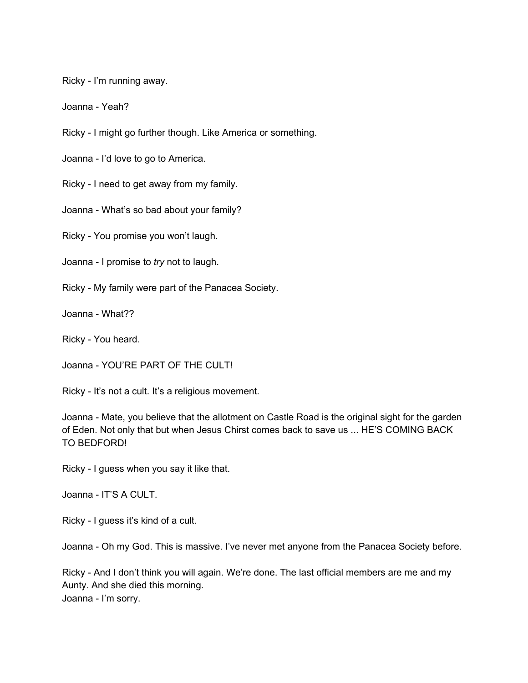Ricky - I'm running away.

Joanna - Yeah?

Ricky - I might go further though. Like America or something.

Joanna - I'd love to go to America.

Ricky - I need to get away from my family.

Joanna - What's so bad about your family?

Ricky - You promise you won't laugh.

Joanna - I promise to *try* not to laugh.

Ricky - My family were part of the Panacea Society.

Joanna - What??

Ricky - You heard.

Joanna - YOU'RE PART OF THE CULT!

Ricky - It's not a cult. It's a religious movement.

Joanna - Mate, you believe that the allotment on Castle Road is the original sight for the garden of Eden. Not only that but when Jesus Chirst comes back to save us ... HE'S COMING BACK TO BEDFORD!

Ricky - I guess when you say it like that.

Joanna - IT'S A CULT.

Ricky - I guess it's kind of a cult.

Joanna - Oh my God. This is massive. I've never met anyone from the Panacea Society before.

Ricky - And I don't think you will again. We're done. The last official members are me and my Aunty. And she died this morning. Joanna - I'm sorry.